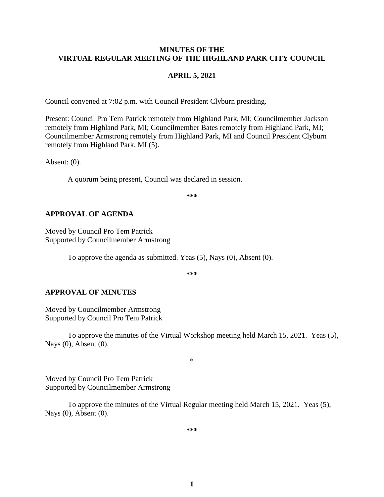### **MINUTES OF THE VIRTUAL REGULAR MEETING OF THE HIGHLAND PARK CITY COUNCIL**

#### **APRIL 5, 2021**

Council convened at 7:02 p.m. with Council President Clyburn presiding.

Present: Council Pro Tem Patrick remotely from Highland Park, MI; Councilmember Jackson remotely from Highland Park, MI; Councilmember Bates remotely from Highland Park, MI; Councilmember Armstrong remotely from Highland Park, MI and Council President Clyburn remotely from Highland Park, MI (5).

Absent: (0).

A quorum being present, Council was declared in session.

**\*\*\***

### **APPROVAL OF AGENDA**

Moved by Council Pro Tem Patrick Supported by Councilmember Armstrong

To approve the agenda as submitted. Yeas (5), Nays (0), Absent (0).

**\*\*\***

#### **APPROVAL OF MINUTES**

Moved by Councilmember Armstrong Supported by Council Pro Tem Patrick

To approve the minutes of the Virtual Workshop meeting held March 15, 2021.Yeas (5), Nays (0), Absent (0).

\*

Moved by Council Pro Tem Patrick Supported by Councilmember Armstrong

To approve the minutes of the Virtual Regular meeting held March 15, 2021.Yeas (5), Nays (0), Absent (0).

**\*\*\***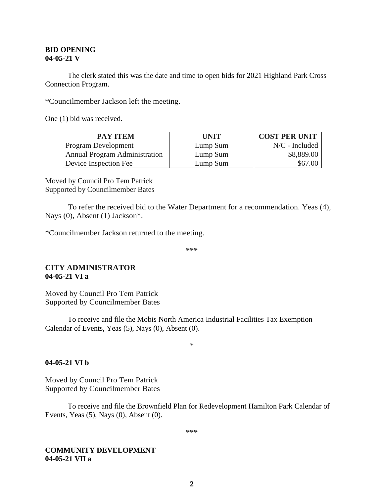#### **BID OPENING 04-05-21 V**

The clerk stated this was the date and time to open bids for 2021 Highland Park Cross Connection Program.

\*Councilmember Jackson left the meeting.

One (1) bid was received.

| <b>PAY ITEM</b>                      | UNIT     | <b>COST PER UNIT</b> |
|--------------------------------------|----------|----------------------|
| <b>Program Development</b>           | Lump Sum | $N/C$ - Included     |
| <b>Annual Program Administration</b> | Lump Sum | \$8,889.00           |
| Device Inspection Fee                | Lump Sum | \$67.00              |

Moved by Council Pro Tem Patrick Supported by Councilmember Bates

To refer the received bid to the Water Department for a recommendation. Yeas (4), Nays (0), Absent (1) Jackson\*.

\*Councilmember Jackson returned to the meeting.

**\*\*\***

### **CITY ADMINISTRATOR 04-05-21 VI a**

Moved by Council Pro Tem Patrick Supported by Councilmember Bates

To receive and file the Mobis North America Industrial Facilities Tax Exemption Calendar of Events, Yeas (5), Nays (0), Absent (0).

\*

#### **04-05-21 VI b**

Moved by Council Pro Tem Patrick Supported by Councilmember Bates

To receive and file the Brownfield Plan for Redevelopment Hamilton Park Calendar of Events, Yeas (5), Nays (0), Absent (0).

**\*\*\***

#### **COMMUNITY DEVELOPMENT 04-05-21 VII a**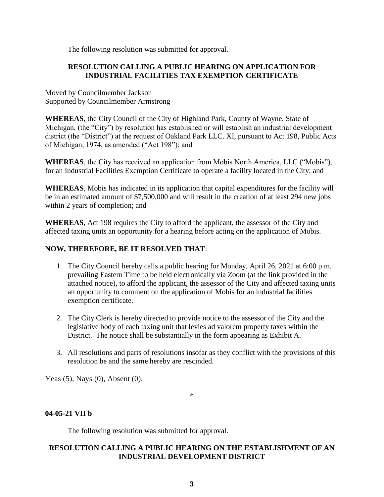The following resolution was submitted for approval.

## **RESOLUTION CALLING A PUBLIC HEARING ON APPLICATION FOR INDUSTRIAL FACILITIES TAX EXEMPTION CERTIFICATE**

Moved by Councilmember Jackson Supported by Councilmember Armstrong

**WHEREAS**, the City Council of the City of Highland Park, County of Wayne, State of Michigan, (the "City") by resolution has established or will establish an industrial development district (the "District") at the request of Oakland Park LLC. XI, pursuant to Act 198, Public Acts of Michigan, 1974, as amended ("Act 198"); and

**WHEREAS**, the City has received an application from Mobis North America, LLC ("Mobis"), for an Industrial Facilities Exemption Certificate to operate a facility located in the City; and

**WHEREAS**, Mobis has indicated in its application that capital expenditures for the facility will be in an estimated amount of \$7,500,000 and will result in the creation of at least 294 new jobs within 2 years of completion; and

**WHEREAS**, Act 198 requires the City to afford the applicant, the assessor of the City and affected taxing units an opportunity for a hearing before acting on the application of Mobis.

# **NOW, THEREFORE, BE IT RESOLVED THAT**:

- 1. The City Council hereby calls a public hearing for Monday, April 26, 2021 at 6:00 p.m. prevailing Eastern Time to be held electronically via Zoom (at the link provided in the attached notice), to afford the applicant, the assessor of the City and affected taxing units an opportunity to comment on the application of Mobis for an industrial facilities exemption certificate.
- 2. The City Clerk is hereby directed to provide notice to the assessor of the City and the legislative body of each taxing unit that levies ad valorem property taxes within the District. The notice shall be substantially in the form appearing as Exhibit A.
- 3. All resolutions and parts of resolutions insofar as they conflict with the provisions of this resolution be and the same hereby are rescinded.

Yeas (5), Nays (0), Absent (0).

## **04-05-21 VII b**

The following resolution was submitted for approval.

## **RESOLUTION CALLING A PUBLIC HEARING ON THE ESTABLISHMENT OF AN INDUSTRIAL DEVELOPMENT DISTRICT**

\*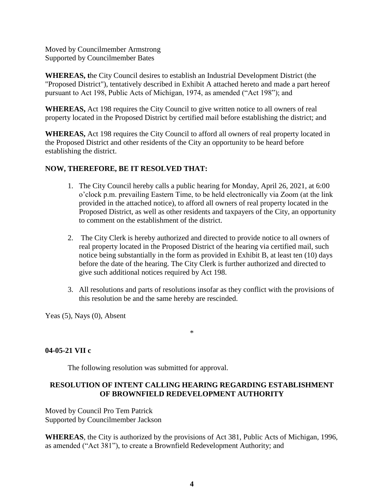Moved by Councilmember Armstrong Supported by Councilmember Bates

**WHEREAS, t**he City Council desires to establish an Industrial Development District (the "Proposed District"), tentatively described in Exhibit A attached hereto and made a part hereof pursuant to Act 198, Public Acts of Michigan, 1974, as amended ("Act 198"); and

**WHEREAS,** Act 198 requires the City Council to give written notice to all owners of real property located in the Proposed District by certified mail before establishing the district; and

**WHEREAS,** Act 198 requires the City Council to afford all owners of real property located in the Proposed District and other residents of the City an opportunity to be heard before establishing the district.

## **NOW, THEREFORE, BE IT RESOLVED THAT:**

- 1. The City Council hereby calls a public hearing for Monday, April 26, 2021, at 6:00 o'clock p.m. prevailing Eastern Time, to be held electronically via Zoom (at the link provided in the attached notice), to afford all owners of real property located in the Proposed District, as well as other residents and taxpayers of the City, an opportunity to comment on the establishment of the district.
- 2. The City Clerk is hereby authorized and directed to provide notice to all owners of real property located in the Proposed District of the hearing via certified mail, such notice being substantially in the form as provided in Exhibit B, at least ten (10) days before the date of the hearing. The City Clerk is further authorized and directed to give such additional notices required by Act 198.
- 3. All resolutions and parts of resolutions insofar as they conflict with the provisions of this resolution be and the same hereby are rescinded.

Yeas (5), Nays (0), Absent

## **04-05-21 VII c**

The following resolution was submitted for approval.

## **RESOLUTION OF INTENT CALLING HEARING REGARDING ESTABLISHMENT OF BROWNFIELD REDEVELOPMENT AUTHORITY**

\*

Moved by Council Pro Tem Patrick Supported by Councilmember Jackson

**WHEREAS**, the City is authorized by the provisions of Act 381, Public Acts of Michigan, 1996, as amended ("Act 381"), to create a Brownfield Redevelopment Authority; and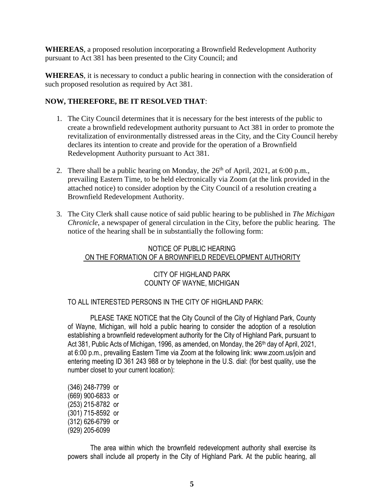**WHEREAS**, a proposed resolution incorporating a Brownfield Redevelopment Authority pursuant to Act 381 has been presented to the City Council; and

**WHEREAS**, it is necessary to conduct a public hearing in connection with the consideration of such proposed resolution as required by Act 381.

## **NOW, THEREFORE, BE IT RESOLVED THAT**:

- 1. The City Council determines that it is necessary for the best interests of the public to create a brownfield redevelopment authority pursuant to Act 381 in order to promote the revitalization of environmentally distressed areas in the City, and the City Council hereby declares its intention to create and provide for the operation of a Brownfield Redevelopment Authority pursuant to Act 381.
- 2. There shall be a public hearing on Monday, the  $26<sup>th</sup>$  of April, 2021, at 6:00 p.m., prevailing Eastern Time, to be held electronically via Zoom (at the link provided in the attached notice) to consider adoption by the City Council of a resolution creating a Brownfield Redevelopment Authority.
- 3. The City Clerk shall cause notice of said public hearing to be published in *The Michigan Chronicle*, a newspaper of general circulation in the City, before the public hearing. The notice of the hearing shall be in substantially the following form:

# NOTICE OF PUBLIC HEARING ON THE FORMATION OF A BROWNFIELD REDEVELOPMENT AUTHORITY

# CITY OF HIGHLAND PARK COUNTY OF WAYNE, MICHIGAN

## TO ALL INTERESTED PERSONS IN THE CITY OF HIGHLAND PARK:

PLEASE TAKE NOTICE that the City Council of the City of Highland Park, County of Wayne, Michigan, will hold a public hearing to consider the adoption of a resolution establishing a brownfield redevelopment authority for the City of Highland Park, pursuant to Act 381, Public Acts of Michigan, 1996, as amended, on Monday, the 26<sup>th</sup> day of April, 2021, at 6:00 p.m., prevailing Eastern Time via Zoom at the following link: www.zoom.us/join and entering meeting ID 361 243 988 or by telephone in the U.S. dial: (for best quality, use the number closet to your current location):

(346) 248-7799 or (669) 900-6833 or (253) 215-8782 or (301) 715-8592 or (312) 626-6799 or (929) 205-6099

The area within which the brownfield redevelopment authority shall exercise its powers shall include all property in the City of Highland Park. At the public hearing, all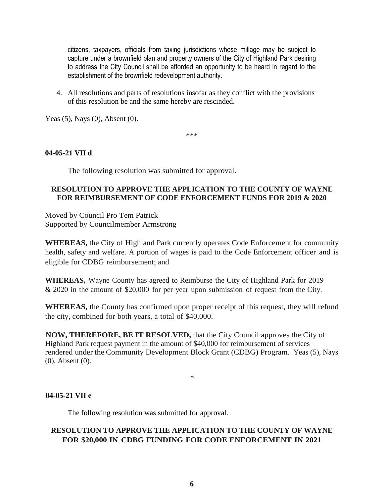citizens, taxpayers, officials from taxing jurisdictions whose millage may be subject to capture under a brownfield plan and property owners of the City of Highland Park desiring to address the City Council shall be afforded an opportunity to be heard in regard to the establishment of the brownfield redevelopment authority.

4. All resolutions and parts of resolutions insofar as they conflict with the provisions of this resolution be and the same hereby are rescinded.

Yeas (5), Nays (0), Absent (0).

\*\*\*

### **04-05-21 VII d**

The following resolution was submitted for approval.

## **RESOLUTION TO APPROVE THE APPLICATION TO THE COUNTY OF WAYNE FOR REIMBURSEMENT OF CODE ENFORCEMENT FUNDS FOR 2019 & 2020**

Moved by Council Pro Tem Patrick Supported by Councilmember Armstrong

**WHEREAS,** the City of Highland Park currently operates Code Enforcement for community health, safety and welfare. A portion of wages is paid to the Code Enforcement officer and is eligible for CDBG reimbursement; and

**WHEREAS,** Wayne County has agreed to Reimburse the City of Highland Park for 2019 & 2020 in the amount of \$20,000 for per year upon submission of request from the City.

**WHEREAS,** the County has confirmed upon proper receipt of this request, they will refund the city, combined for both years, a total of \$40,000.

**NOW, THEREFORE, BE IT RESOLVED,** that the City Council approves the City of Highland Park request payment in the amount of \$40,000 for reimbursement of services rendered under the Community Development Block Grant (CDBG) Program. Yeas (5), Nays (0), Absent (0).

\*

### **04-05-21 VII e**

The following resolution was submitted for approval.

# **RESOLUTION TO APPROVE THE APPLICATION TO THE COUNTY OF WAYNE FOR \$20,000 IN CDBG FUNDING FOR CODE ENFORCEMENT IN 2021**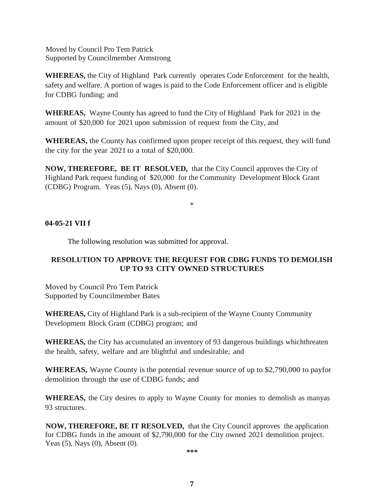Moved by Council Pro Tem Patrick Supported by Councilmember Armstrong

**WHEREAS,** the City of Highland Park currently operates Code Enforcement for the health, safety and welfare. A portion of wages is paid to the Code Enforcement officer and is eligible for CDBG funding; and

**WHEREAS,** Wayne County has agreed to fund the City of Highland Park for 2021 in the amount of \$20,000 for 2021 upon submission of request from the City, and

**WHEREAS,** the County has confirmed upon proper receipt of this request, they will fund the city for the year 2021 to a total of \$20,000.

**NOW, THEREFORE, BE IT RESOLVED,** that the City Council approves the City of Highland Park request funding of \$20,000 for the Community Development Block Grant (CDBG) Program. Yeas (5), Nays (0), Absent (0).

\*

### **04-05-21 VII f**

The following resolution was submitted for approval.

# **RESOLUTION TO APPROVE THE REQUEST FOR CDBG FUNDS TO DEMOLISH UP TO 93 CITY OWNED STRUCTURES**

Moved by Council Pro Tem Patrick Supported by Councilmember Bates

**WHEREAS,** City of Highland Park is a sub-recipient of the Wayne County Community Development Block Grant (CDBG) program; and

**WHEREAS,** the City has accumulated an inventory of 93 dangerous buildings whichthreaten the health, safety, welfare and are blightful and undesirable; and

**WHEREAS,** Wayne County is the potential revenue source of up to \$2,790,000 to payfor demolition through the use of CDBG funds; and

**WHEREAS,** the City desires to apply to Wayne County for monies to demolish as manyas 93 structures.

**NOW, THEREFORE, BE IT RESOLVED,** that the City Council approves the application for CDBG funds in the amount of \$2,790,000 for the City owned 2021 demolition project. Yeas (5), Nays (0), Absent (0).

**\*\*\***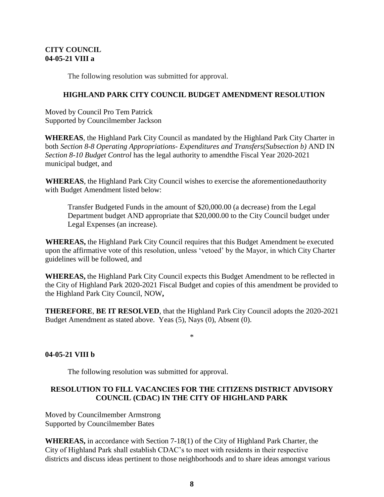## **CITY COUNCIL 04-05-21 VIII a**

The following resolution was submitted for approval.

### **HIGHLAND PARK CITY COUNCIL BUDGET AMENDMENT RESOLUTION**

Moved by Council Pro Tem Patrick Supported by Councilmember Jackson

**WHEREAS**, the Highland Park City Council as mandated by the Highland Park City Charter in both *Section 8-8 Operating Appropriations- Expenditures and Transfers(Subsection b)* AND IN *Section 8-10 Budget Control* has the legal authority to amendthe Fiscal Year 2020-2021 municipal budget, and

**WHEREAS**, the Highland Park City Council wishes to exercise the aforementionedauthority with Budget Amendment listed below:

Transfer Budgeted Funds in the amount of \$20,000.00 (a decrease) from the Legal Department budget AND appropriate that \$20,000.00 to the City Council budget under Legal Expenses (an increase).

**WHEREAS,** the Highland Park City Council requires that this Budget Amendment be executed upon the affirmative vote of this resolution, unless 'vetoed' by the Mayor, in which City Charter guidelines will be followed, and

**WHEREAS,** the Highland Park City Council expects this Budget Amendment to be reflected in the City of Highland Park 2020-2021 Fiscal Budget and copies of this amendment be provided to the Highland Park City Council, NOW**,**

**THEREFORE**, **BE IT RESOLVED**, that the Highland Park City Council adopts the 2020-2021 Budget Amendment as stated above. Yeas (5), Nays (0), Absent (0).

### \*

### **04-05-21 VIII b**

The following resolution was submitted for approval.

## **RESOLUTION TO FILL VACANCIES FOR THE CITIZENS DISTRICT ADVISORY COUNCIL (CDAC) IN THE CITY OF HIGHLAND PARK**

Moved by Councilmember Armstrong Supported by Councilmember Bates

**WHEREAS,** in accordance with Section 7-18(1) of the City of Highland Park Charter, the City of Highland Park shall establish CDAC's to meet with residents in their respective districts and discuss ideas pertinent to those neighborhoods and to share ideas amongst various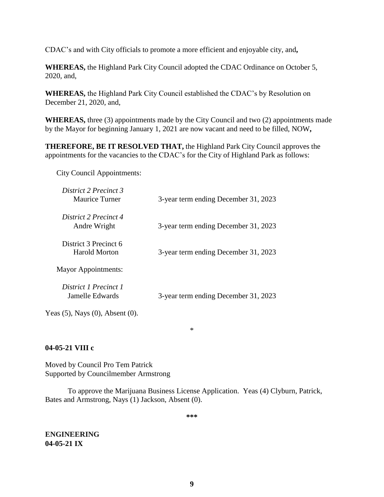CDAC's and with City officials to promote a more efficient and enjoyable city, and**,**

**WHEREAS,** the Highland Park City Council adopted the CDAC Ordinance on October 5, 2020, and,

**WHEREAS,** the Highland Park City Council established the CDAC's by Resolution on December 21, 2020, and,

**WHEREAS,** three (3) appointments made by the City Council and two (2) appointments made by the Mayor for beginning January 1, 2021 are now vacant and need to be filled, NOW**,**

**THEREFORE, BE IT RESOLVED THAT,** the Highland Park City Council approves the appointments for the vacancies to the CDAC's for the City of Highland Park as follows:

City Council Appointments:

| District 2 Precinct 3<br>Maurice Turner  | 3-year term ending December 31, 2023 |
|------------------------------------------|--------------------------------------|
| District 2 Precinct 4<br>Andre Wright    | 3-year term ending December 31, 2023 |
| District 3 Precinct 6<br>Harold Morton   | 3-year term ending December 31, 2023 |
| <b>Mayor Appointments:</b>               |                                      |
| District 1 Precinct 1<br>Jamelle Edwards | 3-year term ending December 31, 2023 |

Yeas (5), Nays (0), Absent (0).

**04-05-21 VIII c**

Moved by Council Pro Tem Patrick Supported by Councilmember Armstrong

To approve the Marijuana Business License Application. Yeas (4) Clyburn, Patrick, Bates and Armstrong, Nays (1) Jackson, Absent (0).

**\*\*\***

\*

**ENGINEERING 04-05-21 IX**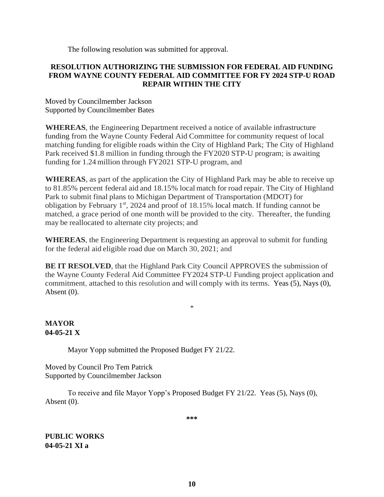The following resolution was submitted for approval.

### **RESOLUTION AUTHORIZING THE SUBMISSION FOR FEDERAL AID FUNDING FROM WAYNE COUNTY FEDERAL AID COMMITTEE FOR FY 2024 STP-U ROAD REPAIR WITHIN THE CITY**

Moved by Councilmember Jackson Supported by Councilmember Bates

**WHEREAS**, the Engineering Department received a notice of available infrastructure funding from the Wayne County Federal Aid Committee for community request of local matching funding for eligible roads within the City of Highland Park; The City of Highland Park received \$1.8 million in funding through the FY2020 STP-U program; is awaiting funding for 1.24 million through FY2021 STP-U program, and

**WHEREAS**, as part of the application the City of Highland Park may be able to receive up to 81.85% percent federal aid and 18.15% localmatch for road repair. The City of Highland Park to submit final plans to Michigan Department of Transportation (MDOT) for obligation by February 1<sup>st</sup>, 2024 and proof of 18.15% local match. If funding cannot be matched, a grace period of one month will be provided to the city. Thereafter, the funding may be reallocated to alternate city projects; and

**WHEREAS**, the Engineering Department is requesting an approval to submit for funding for the federal aid eligible road due on March 30, 2021; and

**BE IT RESOLVED**, that the Highland Park City Council APPROVES the submission of the Wayne County Federal Aid Committee FY2024 STP-U Funding project application and commitment, attached to this resolution and will comply with its terms. Yeas (5), Nays (0), Absent (0).

\*

## **MAYOR 04-05-21 X**

Mayor Yopp submitted the Proposed Budget FY 21/22.

Moved by Council Pro Tem Patrick Supported by Councilmember Jackson

To receive and file Mayor Yopp's Proposed Budget FY 21/22. Yeas (5), Nays (0), Absent (0).

**\*\*\***

**PUBLIC WORKS 04-05-21 XI a**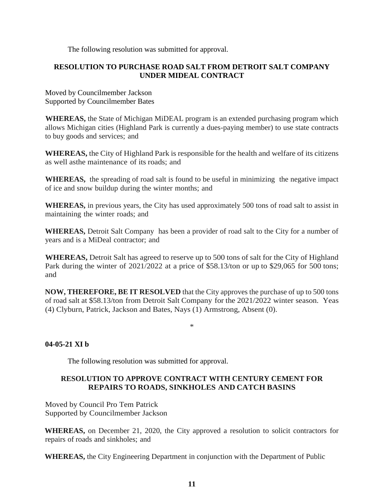The following resolution was submitted for approval.

## **RESOLUTION TO PURCHASE ROAD SALT FROM DETROIT SALT COMPANY UNDER MIDEAL CONTRACT**

Moved by Councilmember Jackson Supported by Councilmember Bates

**WHEREAS,** the State of Michigan MiDEAL program is an extended purchasing program which allows Michigan cities (Highland Park is currently a dues-paying member) to use state contracts to buy goods and services; and

**WHEREAS,** the City of Highland Park is responsible for the health and welfare of its citizens as well asthe maintenance of its roads; and

WHEREAS, the spreading of road salt is found to be useful in minimizing the negative impact of ice and snow buildup during the winter months; and

**WHEREAS,** in previous years, the City has used approximately 500 tons of road salt to assist in maintaining the winter roads; and

**WHEREAS,** Detroit Salt Company has been a provider of road salt to the City for a number of years and is a MiDeal contractor; and

**WHEREAS,** Detroit Salt has agreed to reserve up to 500 tons of salt for the City of Highland Park during the winter of 2021/2022 at a price of \$58.13/ton or up to \$29,065 for 500 tons; and

**NOW, THEREFORE, BE IT RESOLVED** that the City approves the purchase of up to 500 tons of road salt at \$58.13/ton from Detroit Salt Company for the 2021/2022 winter season. Yeas (4) Clyburn, Patrick, Jackson and Bates, Nays (1) Armstrong, Absent (0).

### \*

### **04-05-21 XI b**

The following resolution was submitted for approval.

## **RESOLUTION TO APPROVE CONTRACT WITH CENTURY CEMENT FOR REPAIRS TO ROADS, SINKHOLES AND CATCH BASINS**

Moved by Council Pro Tem Patrick Supported by Councilmember Jackson

**WHEREAS,** on December 21, 2020, the City approved a resolution to solicit contractors for repairs of roads and sinkholes; and

**WHEREAS,** the City Engineering Department in conjunction with the Department of Public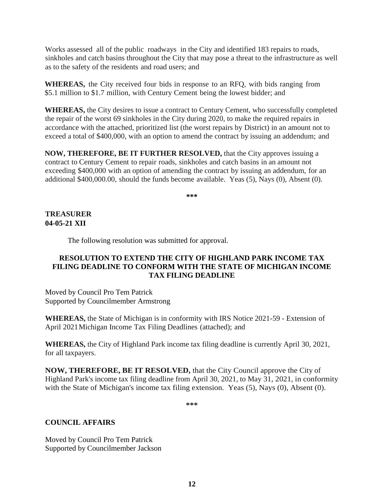Works assessed all of the public roadways in the City and identified 183 repairs to roads, sinkholes and catch basins throughout the City that may pose a threat to the infrastructure as well as to the safety of the residents and road users; and

**WHEREAS,** the City received four bids in response to an RFQ, with bids ranging from \$5.1 million to \$1.7 million, with Century Cement being the lowest bidder; and

**WHEREAS,** the City desires to issue a contract to Century Cement, who successfully completed the repair of the worst 69 sinkholes in the City during 2020, to make the required repairs in accordance with the attached, prioritized list (the worst repairs by District) in an amount not to exceed a total of \$400,000, with an option to amend the contract by issuing an addendum; and

**NOW, THEREFORE, BE IT FURTHER RESOLVED,** that the City approves issuing a contract to Century Cement to repair roads, sinkholes and catch basins in an amount not exceeding \$400,000 with an option of amending the contract by issuing an addendum, for an additional \$400,000.00, should the funds become available. Yeas (5), Nays (0), Absent (0).

**\*\*\***

## **TREASURER 04-05-21 XII**

The following resolution was submitted for approval.

## **RESOLUTION TO EXTEND THE CITY OF HIGHLAND PARK INCOME TAX FILING DEADLINE TO CONFORM WITH THE STATE OF MICHIGAN INCOME TAX FILING DEADLINE**

Moved by Council Pro Tem Patrick Supported by Councilmember Armstrong

**WHEREAS,** the State of Michigan is in conformity with IRS Notice 2021-59 - Extension of April 2021Michigan Income Tax Filing Deadlines (attached); and

**WHEREAS,** the City of Highland Park income tax filing deadline is currently April 30, 2021, for all taxpayers.

**NOW, THEREFORE, BE IT RESOLVED,** that the City Council approve the City of Highland Park's income tax filing deadline from April 30, 2021, to May 31, 2021, in conformity with the State of Michigan's income tax filing extension. Yeas (5), Nays (0), Absent (0).

**\*\*\***

## **COUNCIL AFFAIRS**

Moved by Council Pro Tem Patrick Supported by Councilmember Jackson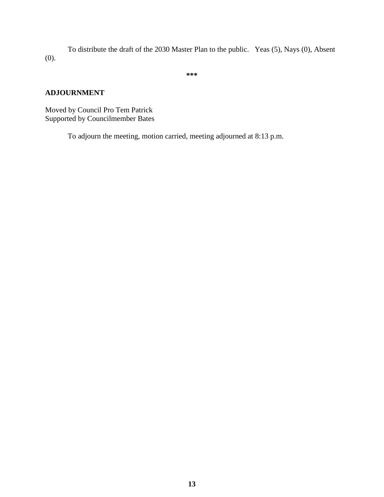To distribute the draft of the 2030 Master Plan to the public. Yeas (5), Nays (0), Absent (0).

**\*\*\***

# **ADJOURNMENT**

Moved by Council Pro Tem Patrick Supported by Councilmember Bates

To adjourn the meeting, motion carried, meeting adjourned at 8:13 p.m.